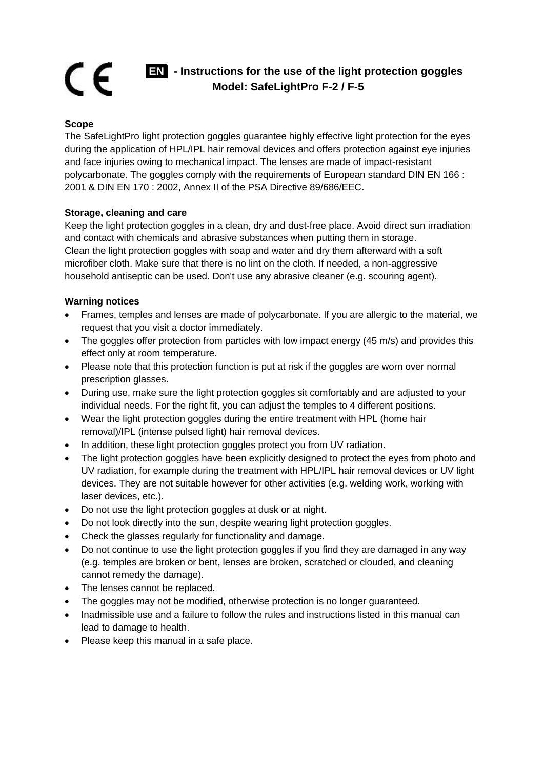## C E **EN - Instructions for the use of the light protection goggles Model: SafeLightPro F-2 / F-5**

## **Scope**

The SafeLightPro light protection goggles guarantee highly effective light protection for the eyes during the application of HPL/IPL hair removal devices and offers protection against eye injuries and face injuries owing to mechanical impact. The lenses are made of impact-resistant polycarbonate. The goggles comply with the requirements of European standard DIN EN 166 : 2001 & DIN EN 170 : 2002, Annex II of the PSA Directive 89/686/EEC.

## **Storage, cleaning and care**

Keep the light protection goggles in a clean, dry and dust-free place. Avoid direct sun irradiation and contact with chemicals and abrasive substances when putting them in storage. Clean the light protection goggles with soap and water and dry them afterward with a soft microfiber cloth. Make sure that there is no lint on the cloth. If needed, a non-aggressive household antiseptic can be used. Don't use any abrasive cleaner (e.g. scouring agent).

## **Warning notices**

- Frames, temples and lenses are made of polycarbonate. If you are allergic to the material, we request that you visit a doctor immediately.
- The goggles offer protection from particles with low impact energy (45 m/s) and provides this effect only at room temperature.
- Please note that this protection function is put at risk if the goggles are worn over normal prescription glasses.
- During use, make sure the light protection goggles sit comfortably and are adjusted to your individual needs. For the right fit, you can adjust the temples to 4 different positions.
- Wear the light protection goggles during the entire treatment with HPL (home hair removal)/IPL (intense pulsed light) hair removal devices.
- In addition, these light protection goggles protect you from UV radiation.
- The light protection goggles have been explicitly designed to protect the eyes from photo and UV radiation, for example during the treatment with HPL/IPL hair removal devices or UV light devices. They are not suitable however for other activities (e.g. welding work, working with laser devices, etc.).
- Do not use the light protection goggles at dusk or at night.
- Do not look directly into the sun, despite wearing light protection goggles.
- Check the glasses regularly for functionality and damage.
- Do not continue to use the light protection goggles if you find they are damaged in any way (e.g. temples are broken or bent, lenses are broken, scratched or clouded, and cleaning cannot remedy the damage).
- The lenses cannot be replaced.
- The goggles may not be modified, otherwise protection is no longer guaranteed.
- Inadmissible use and a failure to follow the rules and instructions listed in this manual can lead to damage to health.
- Please keep this manual in a safe place.